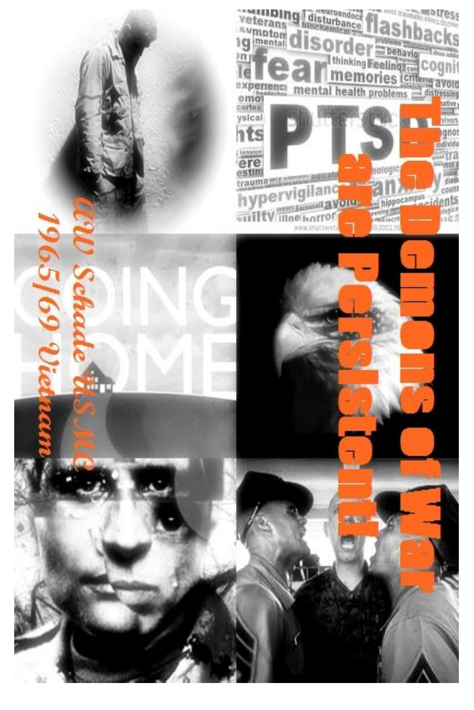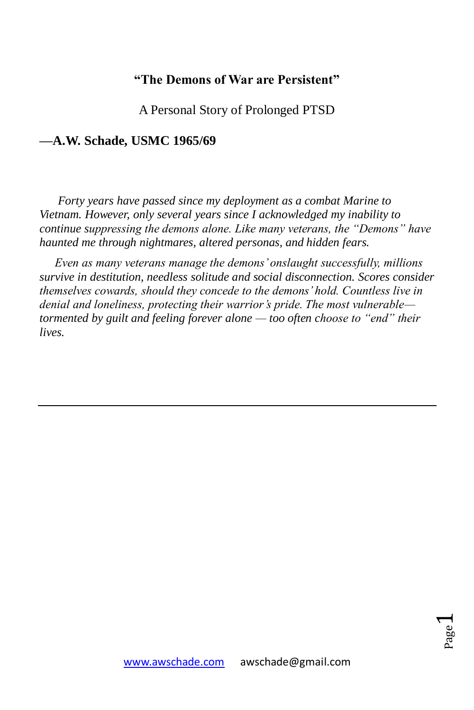### **"The Demons of War are Persistent"**

A Personal Story of Prolonged PTSD

### **—A.W. Schade, USMC 1965/69**

 *Forty years have passed since my deployment as a combat Marine to Vietnam. However, only several years since I acknowledged my inability to continue suppressing the demons alone. Like many veterans, the "Demons" have haunted me through nightmares, altered personas, and hidden fears.*

 *Even as many veterans manage the demons' onslaught successfully, millions survive in destitution, needless solitude and social disconnection. Scores consider themselves cowards, should they concede to the demons' hold. Countless live in denial and loneliness, protecting their warrior's pride. The most vulnerable tormented by guilt and feeling forever alone — too often choose to "end" their lives.*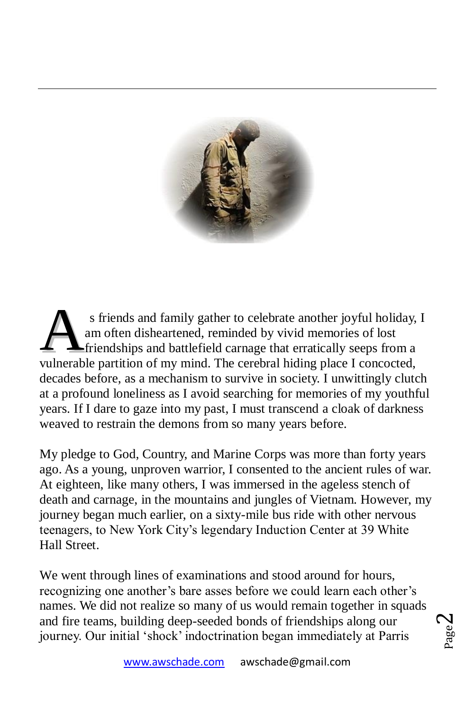

s friends and family gather to celebrate another joyful holiday, I am often disheartened, reminded by vivid memories of lost friendships and battlefield carnage that erratically seeps from a s friends and family gather to celebrate another joyful holiday, am often disheartened, reminded by vivid memories of lost friendships and battlefield carnage that erratically seeps from a vulnerable partition of my mind. decades before, as a mechanism to survive in society. I unwittingly clutch at a profound loneliness as I avoid searching for memories of my youthful years. If I dare to gaze into my past, I must transcend a cloak of darkness weaved to restrain the demons from so many years before.

My pledge to God, Country, and Marine Corps was more than forty years ago. As a young, unproven warrior, I consented to the ancient rules of war. At eighteen, like many others, I was immersed in the ageless stench of death and carnage, in the mountains and jungles of Vietnam. However, my journey began much earlier, on a sixty-mile bus ride with other nervous teenagers, to New York City's legendary Induction Center at 39 White Hall Street.

We went through lines of examinations and stood around for hours, recognizing one another's bare asses before we could learn each other's names. We did not realize so many of us would remain together in squads and fire teams, building deep-seeded bonds of friendships along our journey. Our initial 'shock' indoctrination began immediately at Parris

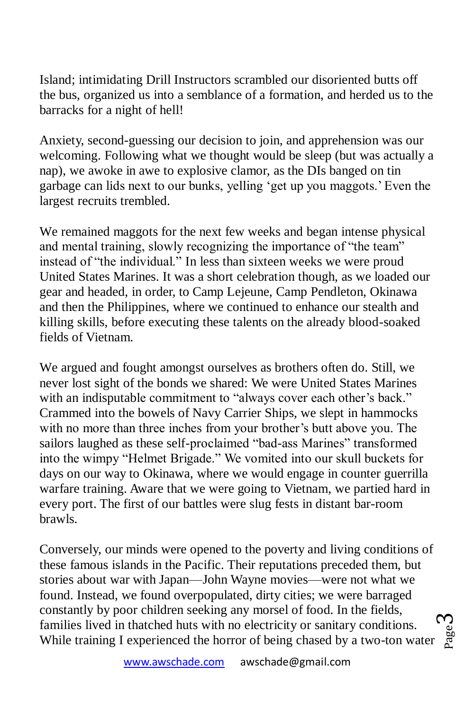Island; intimidating Drill Instructors scrambled our disoriented butts off the bus, organized us into a semblance of a formation, and herded us to the barracks for a night of hell!

Anxiety, second-guessing our decision to join, and apprehension was our welcoming. Following what we thought would be sleep (but was actually a nap), we awoke in awe to explosive clamor, as the DIs banged on tin garbage can lids next to our bunks, yelling 'get up you maggots.' Even the largest recruits trembled.

We remained maggots for the next few weeks and began intense physical and mental training, slowly recognizing the importance of "the team" instead of "the individual." In less than sixteen weeks we were proud United States Marines. It was a short celebration though, as we loaded our gear and headed, in order, to Camp Lejeune, Camp Pendleton, Okinawa and then the Philippines, where we continued to enhance our stealth and killing skills, before executing these talents on the already blood-soaked fields of Vietnam.

We argued and fought amongst ourselves as brothers often do. Still, we never lost sight of the bonds we shared: We were United States Marines with an indisputable commitment to "always cover each other's back." Crammed into the bowels of Navy Carrier Ships, we slept in hammocks with no more than three inches from your brother's butt above you. The sailors laughed as these self-proclaimed "bad-ass Marines" transformed into the wimpy "Helmet Brigade." We vomited into our skull buckets for days on our way to Okinawa, where we would engage in counter guerrilla warfare training. Aware that we were going to Vietnam, we partied hard in every port. The first of our battles were slug fests in distant bar-room brawls.

ო Conversely, our minds were opened to the poverty and living conditions of these famous islands in the Pacific. Their reputations preceded them, but stories about war with Japan—John Wayne movies—were not what we found. Instead, we found overpopulated, dirty cities; we were barraged constantly by poor children seeking any morsel of food. In the fields, families lived in thatched huts with no electricity or sanitary conditions. While training I experienced the horror of being chased by a two-ton water



Page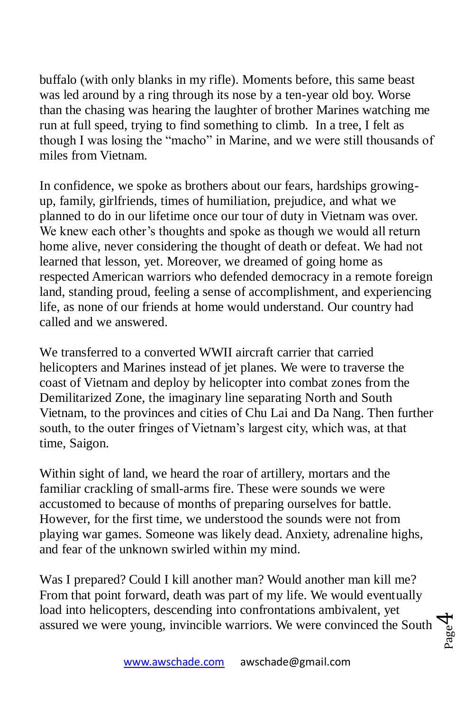buffalo (with only blanks in my rifle). Moments before, this same beast was led around by a ring through its nose by a ten-year old boy. Worse than the chasing was hearing the laughter of brother Marines watching me run at full speed, trying to find something to climb. In a tree, I felt as though I was losing the "macho" in Marine, and we were still thousands of miles from Vietnam.

In confidence, we spoke as brothers about our fears, hardships growingup, family, girlfriends, times of humiliation, prejudice, and what we planned to do in our lifetime once our tour of duty in Vietnam was over. We knew each other's thoughts and spoke as though we would all return home alive, never considering the thought of death or defeat. We had not learned that lesson, yet. Moreover, we dreamed of going home as respected American warriors who defended democracy in a remote foreign land, standing proud, feeling a sense of accomplishment, and experiencing life, as none of our friends at home would understand. Our country had called and we answered.

We transferred to a converted WWII aircraft carrier that carried helicopters and Marines instead of jet planes. We were to traverse the coast of Vietnam and deploy by helicopter into combat zones from the Demilitarized Zone, the imaginary line separating North and South Vietnam, to the provinces and cities of Chu Lai and Da Nang. Then further south, to the outer fringes of Vietnam's largest city, which was, at that time, Saigon.

Within sight of land, we heard the roar of artillery, mortars and the familiar crackling of small-arms fire. These were sounds we were accustomed to because of months of preparing ourselves for battle. However, for the first time, we understood the sounds were not from playing war games. Someone was likely dead. Anxiety, adrenaline highs, and fear of the unknown swirled within my mind.

Was I prepared? Could I kill another man? Would another man kill me? From that point forward, death was part of my life. We would eventually load into helicopters, descending into confrontations ambivalent, yet assured we were young, invincible warriors. We were convinced the South

Page 4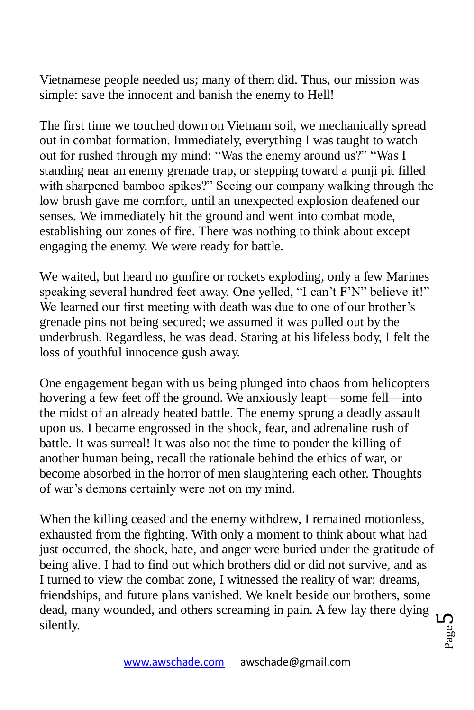Vietnamese people needed us; many of them did. Thus, our mission was simple: save the innocent and banish the enemy to Hell!

The first time we touched down on Vietnam soil, we mechanically spread out in combat formation. Immediately, everything I was taught to watch out for rushed through my mind: "Was the enemy around us?" "Was I standing near an enemy grenade trap, or stepping toward a punji pit filled with sharpened bamboo spikes?" Seeing our company walking through the low brush gave me comfort, until an unexpected explosion deafened our senses. We immediately hit the ground and went into combat mode, establishing our zones of fire. There was nothing to think about except engaging the enemy. We were ready for battle.

We waited, but heard no gunfire or rockets exploding, only a few Marines speaking several hundred feet away. One yelled, "I can't F'N" believe it!" We learned our first meeting with death was due to one of our brother's grenade pins not being secured; we assumed it was pulled out by the underbrush. Regardless, he was dead. Staring at his lifeless body, I felt the loss of youthful innocence gush away.

One engagement began with us being plunged into chaos from helicopters hovering a few feet off the ground. We anxiously leapt—some fell—into the midst of an already heated battle. The enemy sprung a deadly assault upon us. I became engrossed in the shock, fear, and adrenaline rush of battle. It was surreal! It was also not the time to ponder the killing of another human being, recall the rationale behind the ethics of war, or become absorbed in the horror of men slaughtering each other. Thoughts of war's demons certainly were not on my mind.

ഥ When the killing ceased and the enemy withdrew, I remained motionless, exhausted from the fighting. With only a moment to think about what had just occurred, the shock, hate, and anger were buried under the gratitude of being alive. I had to find out which brothers did or did not survive, and as I turned to view the combat zone, I witnessed the reality of war: dreams, friendships, and future plans vanished. We knelt beside our brothers, some dead, many wounded, and others screaming in pain. A few lay there dying silently.

Page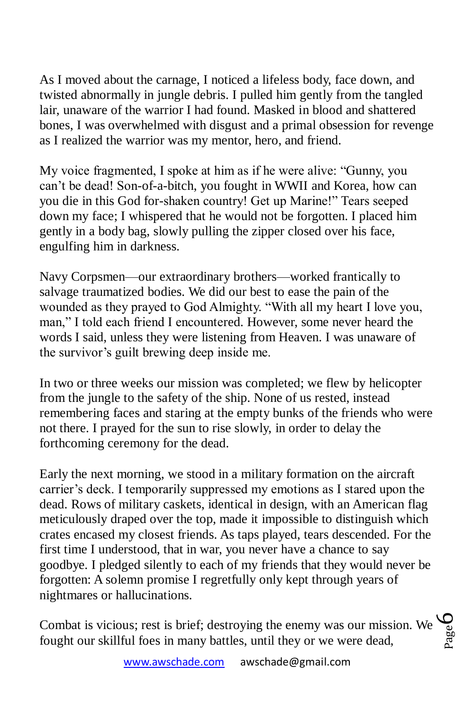As I moved about the carnage, I noticed a lifeless body, face down, and twisted abnormally in jungle debris. I pulled him gently from the tangled lair, unaware of the warrior I had found. Masked in blood and shattered bones, I was overwhelmed with disgust and a primal obsession for revenge as I realized the warrior was my mentor, hero, and friend.

My voice fragmented, I spoke at him as if he were alive: "Gunny, you can't be dead! Son-of-a-bitch, you fought in WWII and Korea, how can you die in this God for-shaken country! Get up Marine!" Tears seeped down my face; I whispered that he would not be forgotten. I placed him gently in a body bag, slowly pulling the zipper closed over his face, engulfing him in darkness.

Navy Corpsmen—our extraordinary brothers—worked frantically to salvage traumatized bodies. We did our best to ease the pain of the wounded as they prayed to God Almighty. "With all my heart I love you, man," I told each friend I encountered. However, some never heard the words I said, unless they were listening from Heaven. I was unaware of the survivor's guilt brewing deep inside me.

n two or three weeks our mission was completed; we flew by helicopter I from the jungle to the safety of the ship. None of us rested, instead remembering faces and staring at the empty bunks of the friends who were not there. I prayed for the sun to rise slowly, in order to delay the forthcoming ceremony for the dead.

Early the next morning, we stood in a military formation on the aircraft carrier's deck. I temporarily suppressed my emotions as I stared upon the dead. Rows of military caskets, identical in design, with an American flag meticulously draped over the top, made it impossible to distinguish which crates encased my closest friends. As taps played, tears descended. For the first time I understood, that in war, you never have a chance to say goodbye. I pledged silently to each of my friends that they would never be forgotten: A solemn promise I regretfully only kept through years of nightmares or hallucinations.

Page 6Combat is vicious; rest is brief; destroying the enemy was our mission. We fought our skillful foes in many battles, until they or we were dead,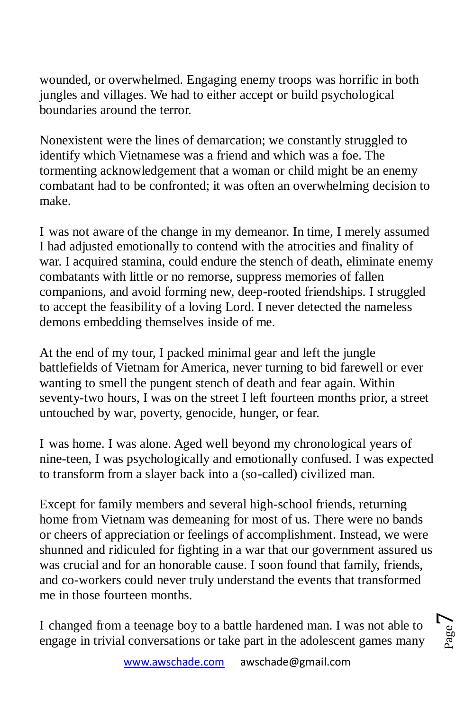wounded, or overwhelmed. Engaging enemy troops was horrific in both jungles and villages. We had to either accept or build psychological boundaries around the terror.

Nonexistent were the lines of demarcation; we constantly struggled to identify which Vietnamese was a friend and which was a foe. The tormenting acknowledgement that a woman or child might be an enemy combatant had to be confronted; it was often an overwhelming decision to make.

was not aware of the change in my demeanor. In time, I merely assumed I I had adjusted emotionally to contend with the atrocities and finality of war. I acquired stamina, could endure the stench of death, eliminate enemy combatants with little or no remorse, suppress memories of fallen companions, and avoid forming new, deep-rooted friendships. I struggled to accept the feasibility of a loving Lord. I never detected the nameless demons embedding themselves inside of me.

At the end of my tour, I packed minimal gear and left the jungle battlefields of Vietnam for America, never turning to bid farewell or ever wanting to smell the pungent stench of death and fear again. Within seventy-two hours, I was on the street I left fourteen months prior, a street untouched by war, poverty, genocide, hunger, or fear.

I was home. I was alone. Aged well beyond my chronological years of nine-teen, I was psychologically and emotionally confused. I was expected to transform from a slayer back into a (so-called) civilized man.

Except for family members and several high-school friends, returning home from Vietnam was demeaning for most of us. There were no bands or cheers of appreciation or feelings of accomplishment. Instead, we were shunned and ridiculed for fighting in a war that our government assured us was crucial and for an honorable cause. I soon found that family, friends, and co-workers could never truly understand the events that transformed me in those fourteen months.

I changed from a teenage boy to a battle hardened man. I was not able to engage in trivial conversations or take part in the adolescent games many

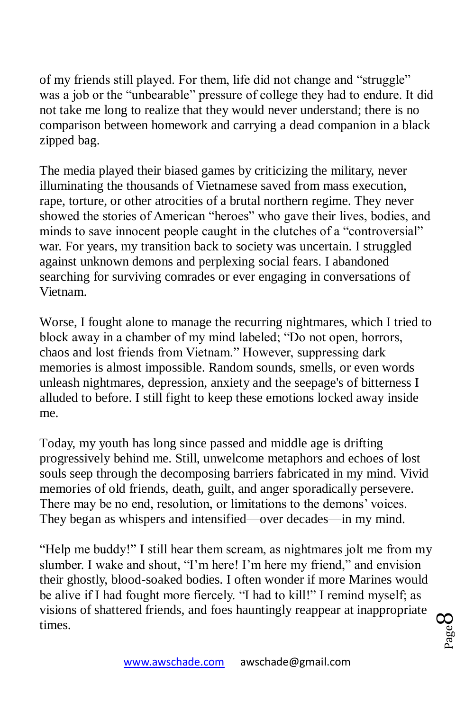of my friends still played. For them, life did not change and "struggle" was a job or the "unbearable" pressure of college they had to endure. It did not take me long to realize that they would never understand; there is no comparison between homework and carrying a dead companion in a black zipped bag.

The media played their biased games by criticizing the military, never illuminating the thousands of Vietnamese saved from mass execution, rape, torture, or other atrocities of a brutal northern regime. They never showed the stories of American "heroes" who gave their lives, bodies, and minds to save innocent people caught in the clutches of a "controversial" war. For years, my transition back to society was uncertain. I struggled against unknown demons and perplexing social fears. I abandoned searching for surviving comrades or ever engaging in conversations of Vietnam.

Worse, I fought alone to manage the recurring nightmares, which I tried to block away in a chamber of my mind labeled; "Do not open, horrors, chaos and lost friends from Vietnam." However, suppressing dark memories is almost impossible. Random sounds, smells, or even words unleash nightmares, depression, anxiety and the seepage's of bitterness I alluded to before. I still fight to keep these emotions locked away inside me.

Today, my youth has long since passed and middle age is drifting progressively behind me. Still, unwelcome metaphors and echoes of lost souls seep through the decomposing barriers fabricated in my mind. Vivid memories of old friends, death, guilt, and anger sporadically persevere. There may be no end, resolution, or limitations to the demons' voices. They began as whispers and intensified—over decades—in my mind.

"Help me buddy!" I still hear them scream, as nightmares jolt me from my slumber. I wake and shout, "I'm here! I'm here my friend," and envision their ghostly, blood-soaked bodies. I often wonder if more Marines would be alive if I had fought more fiercely. "I had to kill!" I remind myself; as visions of shattered friends, and foes hauntingly reappear at inappropriate times.

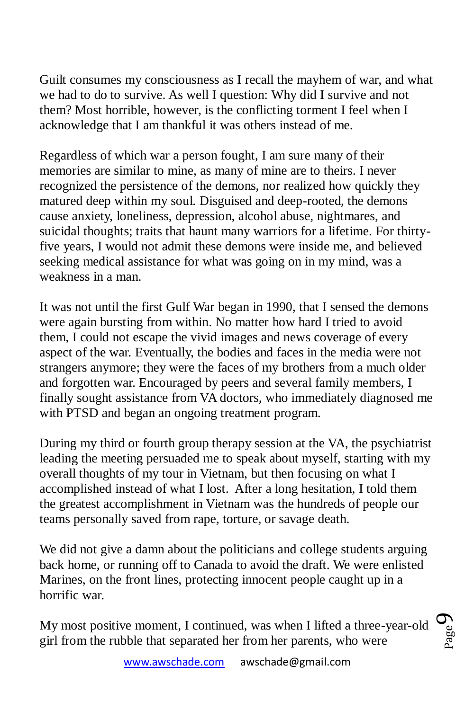Guilt consumes my consciousness as I recall the mayhem of war, and what we had to do to survive. As well I question: Why did I survive and not them? Most horrible, however, is the conflicting torment I feel when I acknowledge that I am thankful it was others instead of me.

Regardless of which war a person fought, I am sure many of their memories are similar to mine, as many of mine are to theirs. I never recognized the persistence of the demons, nor realized how quickly they matured deep within my soul. Disguised and deep-rooted, the demons cause anxiety, loneliness, depression, alcohol abuse, nightmares, and suicidal thoughts; traits that haunt many warriors for a lifetime. For thirtyfive years, I would not admit these demons were inside me, and believed seeking medical assistance for what was going on in my mind, was a weakness in a man.

It was not until the first Gulf War began in 1990, that I sensed the demons were again bursting from within. No matter how hard I tried to avoid them, I could not escape the vivid images and news coverage of every aspect of the war. Eventually, the bodies and faces in the media were not strangers anymore; they were the faces of my brothers from a much older and forgotten war. Encouraged by peers and several family members, I finally sought assistance from VA doctors, who immediately diagnosed me with PTSD and began an ongoing treatment program.

During my third or fourth group therapy session at the VA, the psychiatrist leading the meeting persuaded me to speak about myself, starting with my overall thoughts of my tour in Vietnam, but then focusing on what I accomplished instead of what I lost. After a long hesitation, I told them the greatest accomplishment in Vietnam was the hundreds of people our teams personally saved from rape, torture, or savage death.

We did not give a damn about the politicians and college students arguing back home, or running off to Canada to avoid the draft. We were enlisted Marines, on the front lines, protecting innocent people caught up in a horrific war.

My most positive moment, I continued, was when I lifted a three-year-old girl from the rubble that separated her from her parents, who were

Page  $\sigma$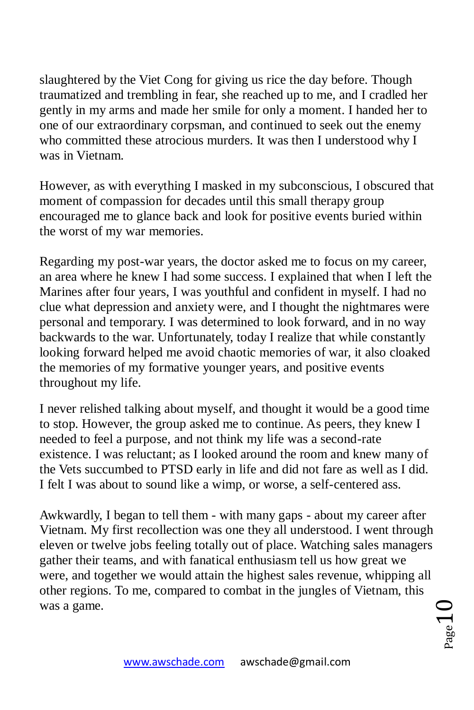slaughtered by the Viet Cong for giving us rice the day before. Though traumatized and trembling in fear, she reached up to me, and I cradled her gently in my arms and made her smile for only a moment. I handed her to one of our extraordinary corpsman, and continued to seek out the enemy who committed these atrocious murders. It was then I understood why I was in Vietnam.

However, as with everything I masked in my subconscious, I obscured that moment of compassion for decades until this small therapy group encouraged me to glance back and look for positive events buried within the worst of my war memories.

Regarding my post-war years, the doctor asked me to focus on my career, an area where he knew I had some success. I explained that when I left the Marines after four years, I was youthful and confident in myself. I had no clue what depression and anxiety were, and I thought the nightmares were personal and temporary. I was determined to look forward, and in no way backwards to the war. Unfortunately, today I realize that while constantly looking forward helped me avoid chaotic memories of war, it also cloaked the memories of my formative younger years, and positive events throughout my life.

I never relished talking about myself, and thought it would be a good time to stop. However, the group asked me to continue. As peers, they knew I needed to feel a purpose, and not think my life was a second-rate existence. I was reluctant; as I looked around the room and knew many of the Vets succumbed to PTSD early in life and did not fare as well as I did. I felt I was about to sound like a wimp, or worse, a self-centered ass.

Awkwardly, I began to tell them - with many gaps - about my career after Vietnam. My first recollection was one they all understood. I went through eleven or twelve jobs feeling totally out of place. Watching sales managers gather their teams, and with fanatical enthusiasm tell us how great we were, and together we would attain the highest sales revenue, whipping all other regions. To me, compared to combat in the jungles of Vietnam, this was a game.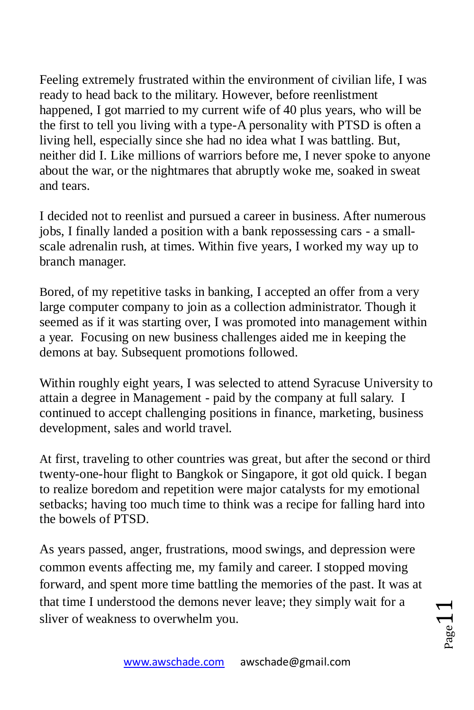Feeling extremely frustrated within the environment of civilian life, I was ready to head back to the military. However, before reenlistment happened, I got married to my current wife of 40 plus years, who will be the first to tell you living with a type-A personality with PTSD is often a living hell, especially since she had no idea what I was battling. But, neither did I. Like millions of warriors before me, I never spoke to anyone about the war, or the nightmares that abruptly woke me, soaked in sweat and tears.

I decided not to reenlist and pursued a career in business. After numerous jobs, I finally landed a position with a bank repossessing cars - a smallscale adrenalin rush, at times. Within five years, I worked my way up to branch manager.

Bored, of my repetitive tasks in banking, I accepted an offer from a very large computer company to join as a collection administrator. Though it seemed as if it was starting over, I was promoted into management within a year. Focusing on new business challenges aided me in keeping the demons at bay. Subsequent promotions followed.

Within roughly eight years, I was selected to attend Syracuse University to attain a degree in Management - paid by the company at full salary. I continued to accept challenging positions in finance, marketing, business development, sales and world travel.

At first, traveling to other countries was great, but after the second or third twenty-one-hour flight to Bangkok or Singapore, it got old quick. I began to realize boredom and repetition were major catalysts for my emotional setbacks; having too much time to think was a recipe for falling hard into the bowels of PTSD.

As years passed, anger, frustrations, mood swings, and depression were common events affecting me, my family and career. I stopped moving forward, and spent more time battling the memories of the past. It was at that time I understood the demons never leave; they simply wait for a sliver of weakness to overwhelm you.

 $_{\rm Page}11$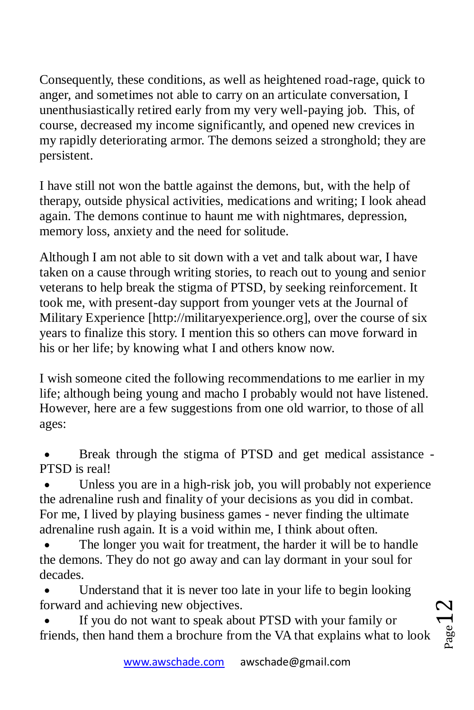Consequently, these conditions, as well as heightened road-rage, quick to anger, and sometimes not able to carry on an articulate conversation, I unenthusiastically retired early from my very well-paying job. This, of course, decreased my income significantly, and opened new crevices in my rapidly deteriorating armor. The demons seized a stronghold; they are persistent.

I have still not won the battle against the demons, but, with the help of therapy, outside physical activities, medications and writing; I look ahead again. The demons continue to haunt me with nightmares, depression, memory loss, anxiety and the need for solitude.

Although I am not able to sit down with a vet and talk about war, I have taken on a cause through writing stories, to reach out to young and senior veterans to help break the stigma of PTSD, by seeking reinforcement. It took me, with present-day support from younger vets at the Journal of Military Experience [http://militaryexperience.org], over the course of six years to finalize this story. I mention this so others can move forward in his or her life; by knowing what I and others know now.

I wish someone cited the following recommendations to me earlier in my life; although being young and macho I probably would not have listened. However, here are a few suggestions from one old warrior, to those of all ages:

 Break through the stigma of PTSD and get medical assistance - PTSD is real!

 Unless you are in a high-risk job, you will probably not experience the adrenaline rush and finality of your decisions as you did in combat. For me, I lived by playing business games - never finding the ultimate adrenaline rush again. It is a void within me, I think about often.

 The longer you wait for treatment, the harder it will be to handle the demons. They do not go away and can lay dormant in your soul for decades.

 Understand that it is never too late in your life to begin looking forward and achieving new objectives.

 If you do not want to speak about PTSD with your family or friends, then hand them a brochure from the VA that explains what to look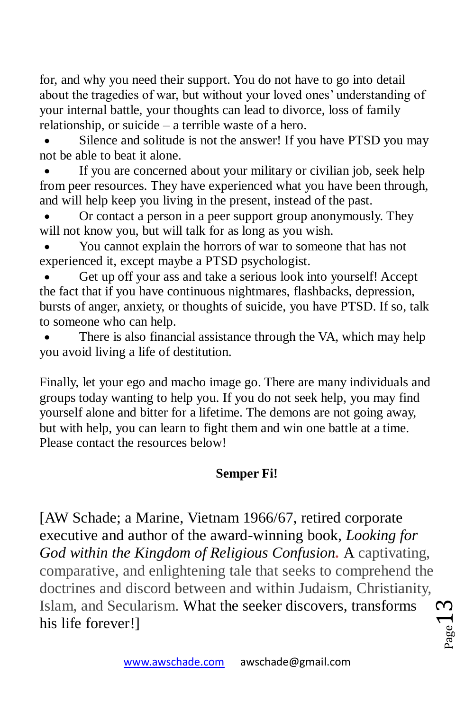for, and why you need their support. You do not have to go into detail about the tragedies of war, but without your loved ones' understanding of your internal battle, your thoughts can lead to divorce, loss of family relationship, or suicide – a terrible waste of a hero.

 Silence and solitude is not the answer! If you have PTSD you may not be able to beat it alone.

 If you are concerned about your military or civilian job, seek help from peer resources. They have experienced what you have been through, and will help keep you living in the present, instead of the past.

 Or contact a person in a peer support group anonymously. They will not know you, but will talk for as long as you wish.

 You cannot explain the horrors of war to someone that has not experienced it, except maybe a PTSD psychologist.

 Get up off your ass and take a serious look into yourself! Accept the fact that if you have continuous nightmares, flashbacks, depression, bursts of anger, anxiety, or thoughts of suicide, you have PTSD. If so, talk to someone who can help.

 There is also financial assistance through the VA, which may help you avoid living a life of destitution.

Finally, let your ego and macho image go. There are many individuals and groups today wanting to help you. If you do not seek help, you may find yourself alone and bitter for a lifetime. The demons are not going away, but with help, you can learn to fight them and win one battle at a time. Please contact the resources below!

## **Semper Fi!**

[AW Schade; a Marine, Vietnam 1966/67, retired corporate executive and author of the award-winning book, *Looking for God within the Kingdom of Religious Confusion.* A captivating, comparative, and enlightening tale that seeks to comprehend the doctrines and discord between and within Judaism, Christianity, Islam, and Secularism. What the seeker discovers, transforms his life forever!]

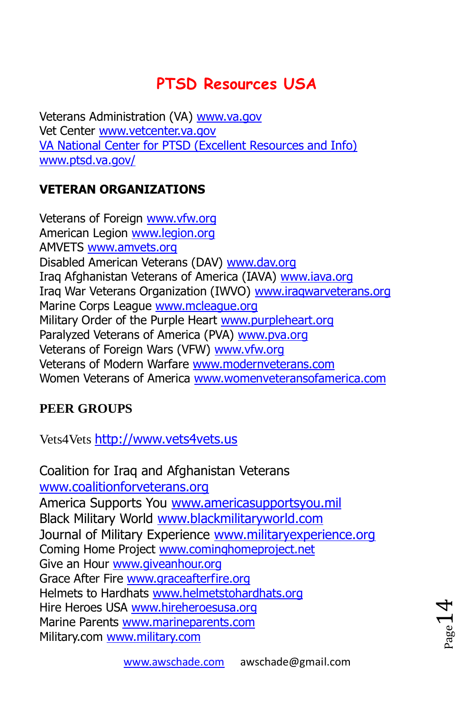# **PTSD Resources USA**

Veterans Administration (VA) [www.va.gov](http://www.va.gov/) Vet Center [www.vetcenter.va.gov](http://www.vetcenter.va.gov/) [VA National Center for PTSD \(Excellent Resources and Info\)](http://awschade.com/WebSitePageEditor/www.ptsd.va.gov) [www.ptsd.va.gov/](http://www.ptsd.va.gov/)

## **VETERAN ORGANIZATIONS**

Veterans of Foreign [www.vfw.org](http://www.vfw.org/) American Legion [www.legion.org](http://www.legion.org/)  AMVETS [www.amvets.org](http://www.amvets.org/)  Disabled American Veterans (DAV) [www.dav.org](http://www.dav.org/) Iraq Afghanistan Veterans of America (IAVA) [www.iava.org](http://www.iava.org/)  Iraq War Veterans Organization (IWVO) [www.iraqwarveterans.org](http://www.iraqwarveterans.org/) Marine Corps League [www.mcleague.org](http://www.mcleague.org/)  Military Order of the Purple Heart [www.purpleheart.org](http://www.purpleheart.org/) Paralyzed Veterans of America (PVA) [www.pva.org](http://www.pva.org/)  Veterans of Foreign Wars (VFW) [www.vfw.org](http://www.vfw.org/)  Veterans of Modern Warfare [www.modernveterans.com](http://www.modernveterans.com/) Women Veterans of America [www.womenveteransofamerica.com](http://www.womenveteransofamerica.com/)

### **PEER GROUPS**

Vets4Vets [http://www.vets4vets.us](http://www.vets4vets.us/)

Coalition for Iraq and Afghanistan Veterans [www.coalitionforveterans.org](http://www.coalitionforveterans.org/)  America Supports You [www.americasupportsyou.mil](http://www.americasupportsyou.mil/)  Black Military World [www.blackmilitaryworld.com](http://www.blackmilitaryworld.com/)  Journal of Military Experience [www.militaryexperience.org](http://www.militaryexperience.org/) Coming Home Project [www.cominghomeproject.net](http://www.cominghomeproject.net/) Give an Hour [www.giveanhour.org](http://www.giveanhour.org/) Grace After Fire [www.graceafterfire.org](http://www.graceafterfire.org/) Helmets to Hardhats [www.helmetstohardhats.org](http://www.helmetstohardhats.org/)  Hire Heroes USA [www.hireheroesusa.org](http://www.hireheroesusa.org/) Marine Parents [www.marineparents.com](http://www.marineparents.com/) Military.com [www.military.com](http://www.military.com/) 

 $_{\rm Page}$ 14